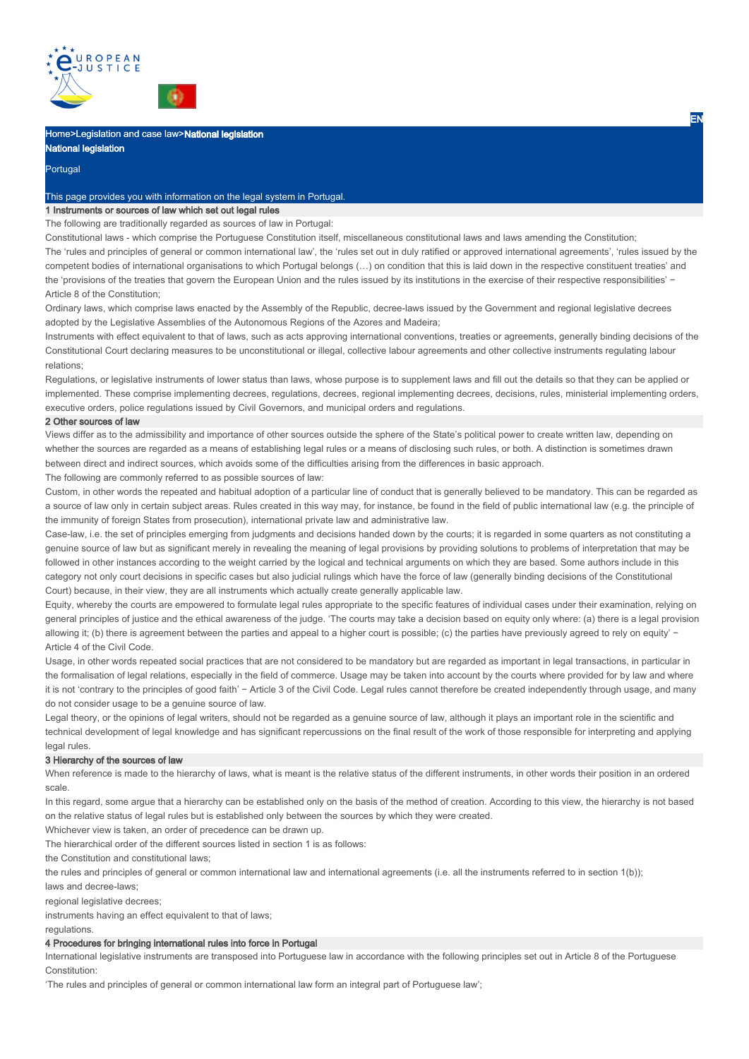



# Home>Legislation and case law>National legislation National legislation

# Portugal

#### This page provides you with information on the legal system in Portugal.

## 1 Instruments or sources of law which set out legal rules

The following are traditionally regarded as sources of law in Portugal:

Constitutional laws - which comprise the Portuguese Constitution itself, miscellaneous constitutional laws and laws amending the Constitution; The 'rules and principles of general or common international law', the 'rules set out in duly ratified or approved international agreements', 'rules issued by the competent bodies of international organisations to which Portugal belongs (…) on condition that this is laid down in the respective constituent treaties' and the 'provisions of the treaties that govern the European Union and the rules issued by its institutions in the exercise of their respective responsibilities' −

Article 8 of the Constitution;

Ordinary laws, which comprise laws enacted by the Assembly of the Republic, decree-laws issued by the Government and regional legislative decrees adopted by the Legislative Assemblies of the Autonomous Regions of the Azores and Madeira;

Instruments with effect equivalent to that of laws, such as acts approving international conventions, treaties or agreements, generally binding decisions of the Constitutional Court declaring measures to be unconstitutional or illegal, collective labour agreements and other collective instruments regulating labour relations;

Regulations, or legislative instruments of lower status than laws, whose purpose is to supplement laws and fill out the details so that they can be applied or implemented. These comprise implementing decrees, regulations, decrees, regional implementing decrees, decisions, rules, ministerial implementing orders, executive orders, police regulations issued by Civil Governors, and municipal orders and regulations.

#### 2 Other sources of law

Views differ as to the admissibility and importance of other sources outside the sphere of the State's political power to create written law, depending on whether the sources are regarded as a means of establishing legal rules or a means of disclosing such rules, or both. A distinction is sometimes drawn between direct and indirect sources, which avoids some of the difficulties arising from the differences in basic approach.

The following are commonly referred to as possible sources of law:

Custom, in other words the repeated and habitual adoption of a particular line of conduct that is generally believed to be mandatory. This can be regarded as a source of law only in certain subject areas. Rules created in this way may, for instance, be found in the field of public international law (e.g. the principle of the immunity of foreign States from prosecution), international private law and administrative law.

Case-law, i.e. the set of principles emerging from judgments and decisions handed down by the courts; it is regarded in some quarters as not constituting a genuine source of law but as significant merely in revealing the meaning of legal provisions by providing solutions to problems of interpretation that may be followed in other instances according to the weight carried by the logical and technical arguments on which they are based. Some authors include in this category not only court decisions in specific cases but also judicial rulings which have the force of law (generally binding decisions of the Constitutional Court) because, in their view, they are all instruments which actually create generally applicable law.

Equity, whereby the courts are empowered to formulate legal rules appropriate to the specific features of individual cases under their examination, relying on general principles of justice and the ethical awareness of the judge. 'The courts may take a decision based on equity only where: (a) there is a legal provision allowing it; (b) there is agreement between the parties and appeal to a higher court is possible; (c) the parties have previously agreed to rely on equity' − Article 4 of the Civil Code.

Usage, in other words repeated social practices that are not considered to be mandatory but are regarded as important in legal transactions, in particular in the formalisation of legal relations, especially in the field of commerce. Usage may be taken into account by the courts where provided for by law and where it is not 'contrary to the principles of good faith' − Article 3 of the Civil Code. Legal rules cannot therefore be created independently through usage, and many do not consider usage to be a genuine source of law.

Legal theory, or the opinions of legal writers, should not be regarded as a genuine source of law, although it plays an important role in the scientific and technical development of legal knowledge and has significant repercussions on the final result of the work of those responsible for interpreting and applying legal rules.

#### 3 Hierarchy of the sources of law

When reference is made to the hierarchy of laws, what is meant is the relative status of the different instruments, in other words their position in an ordered scale.

In this regard, some argue that a hierarchy can be established only on the basis of the method of creation. According to this view, the hierarchy is not based on the relative status of legal rules but is established only between the sources by which they were created.

Whichever view is taken, an order of precedence can be drawn up.

The hierarchical order of the different sources listed in section 1 is as follows:

the Constitution and constitutional laws;

the rules and principles of general or common international law and international agreements (i.e. all the instruments referred to in section 1(b));

laws and decree-laws;

regional legislative decrees;

instruments having an effect equivalent to that of laws;

regulations.

#### 4 Procedures for bringing international rules into force in Portugal

International legislative instruments are transposed into Portuguese law in accordance with the following principles set out in Article 8 of the Portuguese Constitution:

'The rules and principles of general or common international law form an integral part of Portuguese law';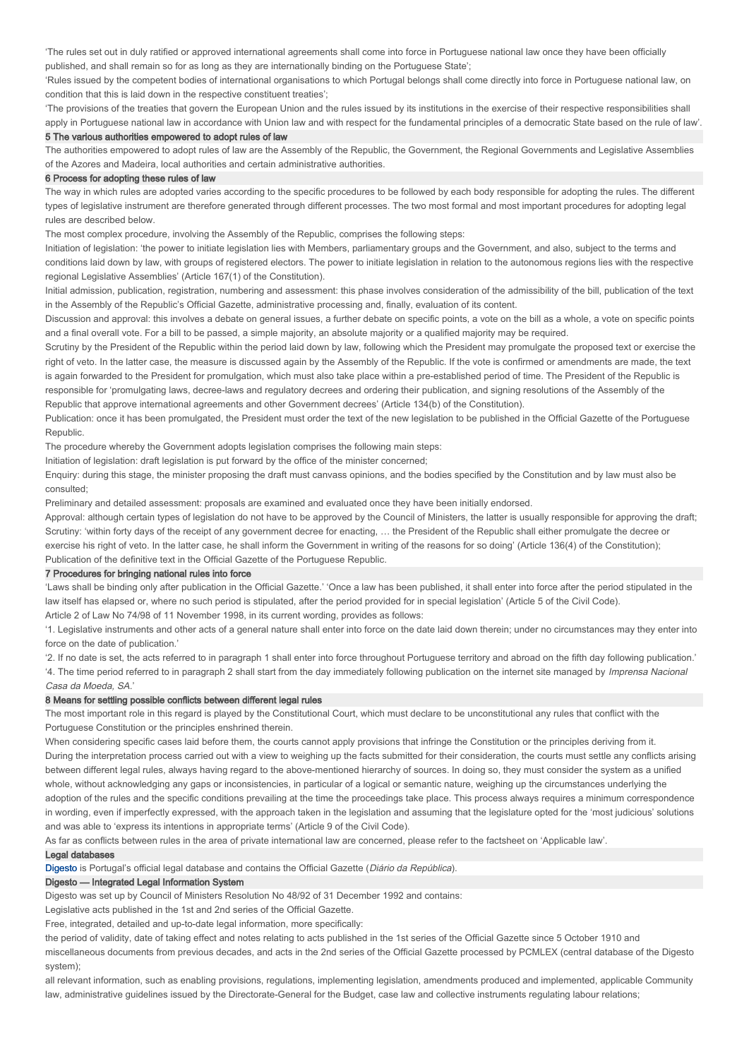'The rules set out in duly ratified or approved international agreements shall come into force in Portuguese national law once they have been officially published, and shall remain so for as long as they are internationally binding on the Portuguese State';

'Rules issued by the competent bodies of international organisations to which Portugal belongs shall come directly into force in Portuguese national law, on condition that this is laid down in the respective constituent treaties';

'The provisions of the treaties that govern the European Union and the rules issued by its institutions in the exercise of their respective responsibilities shall apply in Portuguese national law in accordance with Union law and with respect for the fundamental principles of a democratic State based on the rule of law'.

#### 5 The various authorities empowered to adopt rules of law

The authorities empowered to adopt rules of law are the Assembly of the Republic, the Government, the Regional Governments and Legislative Assemblies of the Azores and Madeira, local authorities and certain administrative authorities.

#### 6 Process for adopting these rules of law

The way in which rules are adopted varies according to the specific procedures to be followed by each body responsible for adopting the rules. The different types of legislative instrument are therefore generated through different processes. The two most formal and most important procedures for adopting legal rules are described below.

The most complex procedure, involving the Assembly of the Republic, comprises the following steps:

Initiation of legislation: 'the power to initiate legislation lies with Members, parliamentary groups and the Government, and also, subject to the terms and conditions laid down by law, with groups of registered electors. The power to initiate legislation in relation to the autonomous regions lies with the respective regional Legislative Assemblies' (Article 167(1) of the Constitution).

Initial admission, publication, registration, numbering and assessment: this phase involves consideration of the admissibility of the bill, publication of the text in the Assembly of the Republic's Official Gazette, administrative processing and, finally, evaluation of its content.

Discussion and approval: this involves a debate on general issues, a further debate on specific points, a vote on the bill as a whole, a vote on specific points and a final overall vote. For a bill to be passed, a simple majority, an absolute majority or a qualified majority may be required.

Scrutiny by the President of the Republic within the period laid down by law, following which the President may promulgate the proposed text or exercise the right of veto. In the latter case, the measure is discussed again by the Assembly of the Republic. If the vote is confirmed or amendments are made, the text is again forwarded to the President for promulgation, which must also take place within a pre-established period of time. The President of the Republic is responsible for 'promulgating laws, decree-laws and regulatory decrees and ordering their publication, and signing resolutions of the Assembly of the Republic that approve international agreements and other Government decrees' (Article 134(b) of the Constitution).

Publication: once it has been promulgated, the President must order the text of the new legislation to be published in the Official Gazette of the Portuguese Republic.

The procedure whereby the Government adopts legislation comprises the following main steps:

Initiation of legislation: draft legislation is put forward by the office of the minister concerned;

Enquiry: during this stage, the minister proposing the draft must canvass opinions, and the bodies specified by the Constitution and by law must also be consulted;

Preliminary and detailed assessment: proposals are examined and evaluated once they have been initially endorsed.

Approval: although certain types of legislation do not have to be approved by the Council of Ministers, the latter is usually responsible for approving the draft; Scrutiny: 'within forty days of the receipt of any government decree for enacting, … the President of the Republic shall either promulgate the decree or exercise his right of veto. In the latter case, he shall inform the Government in writing of the reasons for so doing' (Article 136(4) of the Constitution); Publication of the definitive text in the Official Gazette of the Portuguese Republic.

#### 7 Procedures for bringing national rules into force

'Laws shall be binding only after publication in the Official Gazette.' 'Once a law has been published, it shall enter into force after the period stipulated in the law itself has elapsed or, where no such period is stipulated, after the period provided for in special legislation' (Article 5 of the Civil Code). Article 2 of Law No 74/98 of 11 November 1998, in its current wording, provides as follows:

'1. Legislative instruments and other acts of a general nature shall enter into force on the date laid down therein; under no circumstances may they enter into force on the date of publication.

'2. If no date is set, the acts referred to in paragraph 1 shall enter into force throughout Portuguese territory and abroad on the fifth day following publication.' '4. The time period referred to in paragraph 2 shall start from the day immediately following publication on the internet site managed by *Imprensa Nacional* Casa da Moeda, SA.'

#### 8 Means for settling possible conflicts between different legal rules

The most important role in this regard is played by the Constitutional Court, which must declare to be unconstitutional any rules that conflict with the Portuguese Constitution or the principles enshrined therein.

When considering specific cases laid before them, the courts cannot apply provisions that infringe the Constitution or the principles deriving from it. During the interpretation process carried out with a view to weighing up the facts submitted for their consideration, the courts must settle any conflicts arising between different legal rules, always having regard to the above-mentioned hierarchy of sources. In doing so, they must consider the system as a unified whole, without acknowledging any gaps or inconsistencies, in particular of a logical or semantic nature, weighing up the circumstances underlying the adoption of the rules and the specific conditions prevailing at the time the proceedings take place. This process always requires a minimum correspondence in wording, even if imperfectly expressed, with the approach taken in the legislation and assuming that the legislature opted for the 'most judicious' solutions and was able to 'express its intentions in appropriate terms' (Article 9 of the Civil Code).

As far as conflicts between rules in the area of private international law are concerned, please refer to the factsheet on 'Applicable law'.

### Legal databases

Digesto is Portugal's official legal database and contains the Official Gazette (Diário da República).

### Digesto — Integrated Legal Information System

Digesto was set up by Council of Ministers Resolution No 48/92 of 31 December 1992 and contains:

Legislative acts published in the 1st and 2nd series of the Official Gazette.

Free, integrated, detailed and up-to-date legal information, more specifically:

the period of validity, date of taking effect and notes relating to acts published in the 1st series of the Official Gazette since 5 October 1910 and

miscellaneous documents from previous decades, and acts in the 2nd series of the Official Gazette processed by PCMLEX (central database of the Digesto system);

all relevant information, such as enabling provisions, regulations, implementing legislation, amendments produced and implemented, applicable Community law, administrative guidelines issued by the Directorate-General for the Budget, case law and collective instruments regulating labour relations;